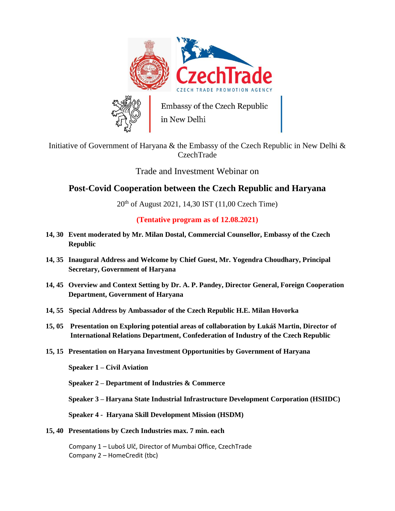

## Initiative of Government of Haryana & the Embassy of the Czech Republic in New Delhi & CzechTrade

Trade and Investment Webinar on

## **Post-Covid Cooperation between the Czech Republic and Haryana**

 $20^{th}$  of August 2021, 14,30 IST (11,00 Czech Time)

**(Tentative program as of 12.08.2021)**

- **14, 30 Event moderated by Mr. Milan Dostal, Commercial Counsellor, Embassy of the Czech Republic**
- **14, 35 Inaugural Address and Welcome by Chief Guest, Mr. Yogendra Choudhary, Principal Secretary, Government of Haryana**
- **14, 45 Overview and Context Setting by Dr. A. P. Pandey, Director General, Foreign Cooperation Department, Government of Haryana**
- **14, 55 Special Address by Ambassador of the Czech Republic H.E. Milan Hovorka**
- **15, 05 Presentation on Exploring potential areas of collaboration by Lukáš Martin, Director of International Relations Department, Confederation of Industry of the Czech Republic**
- **15, 15 Presentation on Haryana Investment Opportunities by Government of Haryana**

**Speaker 1 – Civil Aviation**

**Speaker 2 – Department of Industries & Commerce**

**Speaker 3 – Haryana State Industrial Infrastructure Development Corporation (HSIIDC)**

**Speaker 4 - Haryana Skill Development Mission (HSDM)**

**15, 40 Presentations by Czech Industries max. 7 min. each**

Company 1 – Luboš Ulč, Director of Mumbai Office, CzechTrade Company 2 – HomeCredit (tbc)